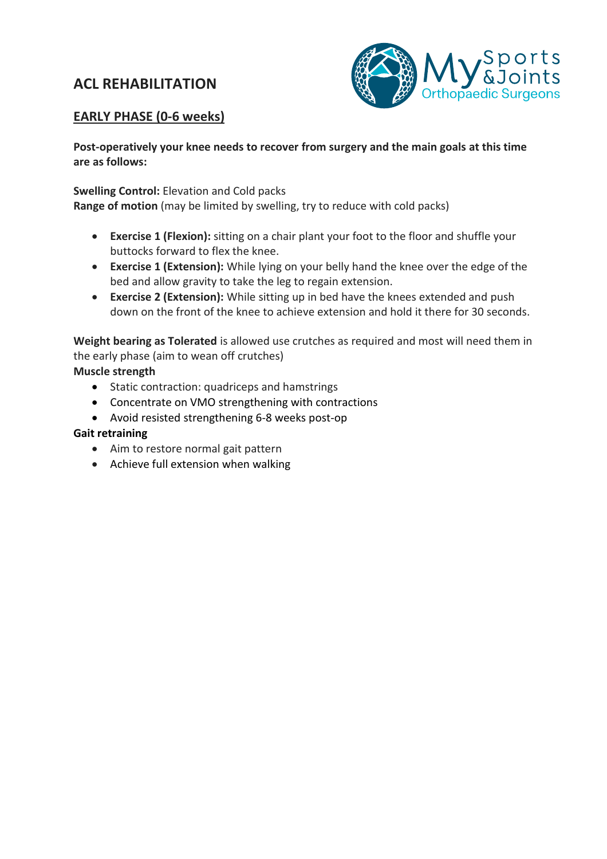# **ACL REHABILITATION**



## **EARLY PHASE (0-6 weeks)**

**Post-operatively your knee needs to recover from surgery and the main goals at this time are as follows:**

**Swelling Control:** Elevation and Cold packs

**Range of motion** (may be limited by swelling, try to reduce with cold packs)

- **Exercise 1 (Flexion):** sitting on a chair plant your foot to the floor and shuffle your buttocks forward to flex the knee.
- **Exercise 1 (Extension):** While lying on your belly hand the knee over the edge of the bed and allow gravity to take the leg to regain extension.
- **Exercise 2 (Extension):** While sitting up in bed have the knees extended and push down on the front of the knee to achieve extension and hold it there for 30 seconds.

**Weight bearing as Tolerated** is allowed use crutches as required and most will need them in the early phase (aim to wean off crutches)

## **Muscle strength**

- Static contraction: quadriceps and hamstrings
- Concentrate on VMO strengthening with contractions
- Avoid resisted strengthening 6-8 weeks post-op

## **Gait retraining**

- Aim to restore normal gait pattern
- Achieve full extension when walking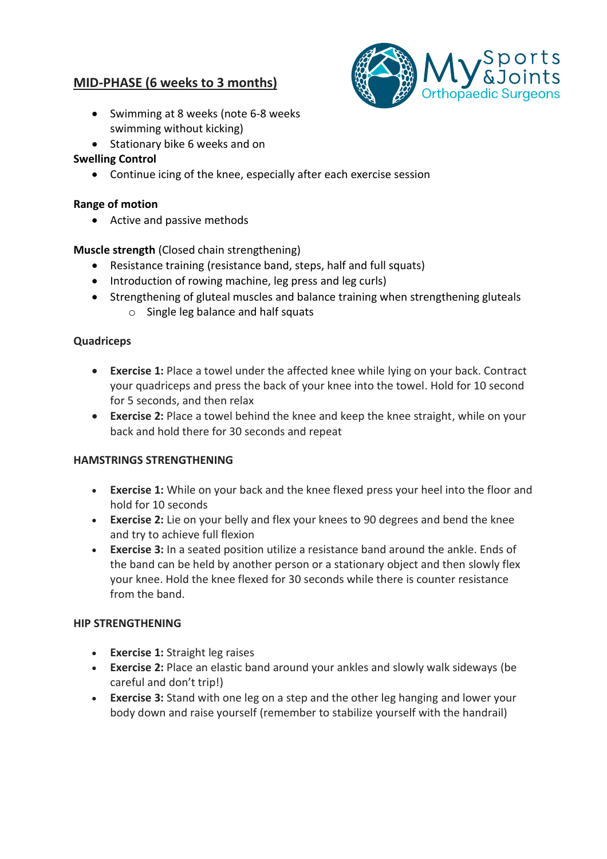## **MID-PHASE (6 weeks to 3 months)**



- Swimming at 8 weeks (note 6-8 weeks swimming without kicking)
- Stationary bike 6 weeks and on

## **Swelling Control**

• Continue icing of the knee, especially after each exercise session

### **Range of motion**

• Active and passive methods

## **Muscle strength** (Closed chain strengthening)

- Resistance training (resistance band, steps, half and full squats)
- Introduction of rowing machine, leg press and leg curls)
- Strengthening of gluteal muscles and balance training when strengthening gluteals o Single leg balance and half squats

### **Quadriceps**

- **Exercise 1:** Place a towel under the affected knee while lying on your back. Contract your quadriceps and press the back of your knee into the towel. Hold for 10 second for 5 seconds, and then relax
- **Exercise 2:** Place a towel behind the knee and keep the knee straight, while on your back and hold there for 30 seconds and repeat

## **HAMSTRINGS STRENGTHENING**

- **Exercise 1:** While on your back and the knee flexed press your heel into the floor and hold for 10 seconds
- **Exercise 2:** Lie on your belly and flex your knees to 90 degrees and bend the knee and try to achieve full flexion
- **Exercise 3:** In a seated position utilize a resistance band around the ankle. Ends of the band can be held by another person or a stationary object and then slowly flex your knee. Hold the knee flexed for 30 seconds while there is counter resistance from the band.

#### **HIP STRENGTHENING**

- **Exercise 1:** Straight leg raises
- **Exercise 2:** Place an elastic band around your ankles and slowly walk sideways (be careful and don't trip!)
- **Exercise 3:** Stand with one leg on a step and the other leg hanging and lower your body down and raise yourself (remember to stabilize yourself with the handrail)